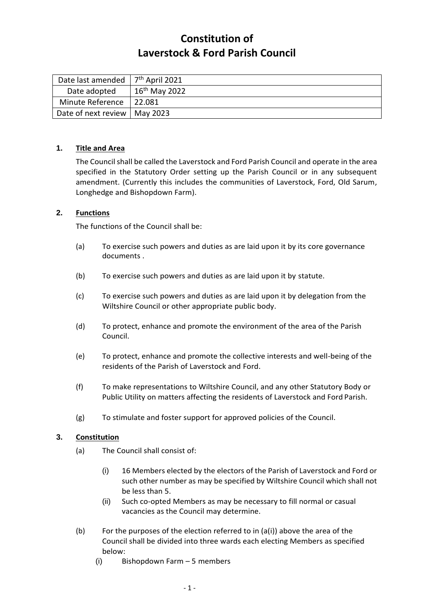# **Constitution of Laverstock & Ford Parish Council**

| Date last amended   | 7 <sup>th</sup> April 2021 |
|---------------------|----------------------------|
| Date adopted        | $16th$ May 2022            |
| Minute Reference    | 22.081                     |
| Date of next review | May 2023                   |

#### **1. Title and Area**

The Council shall be called the Laverstock and Ford Parish Council and operate in the area specified in the Statutory Order setting up the Parish Council or in any subsequent amendment. (Currently this includes the communities of Laverstock, Ford, Old Sarum, Longhedge and Bishopdown Farm).

## **2. Functions**

The functions of the Council shall be:

- (a) To exercise such powers and duties as are laid upon it by its core governance documents .
- (b) To exercise such powers and duties as are laid upon it by statute.
- (c) To exercise such powers and duties as are laid upon it by delegation from the Wiltshire Council or other appropriate public body.
- (d) To protect, enhance and promote the environment of the area of the Parish Council.
- (e) To protect, enhance and promote the collective interests and well-being of the residents of the Parish of Laverstock and Ford.
- (f) To make representations to Wiltshire Council, and any other Statutory Body or Public Utility on matters affecting the residents of Laverstock and Ford Parish.
- (g) To stimulate and foster support for approved policies of the Council.

## **3. Constitution**

- (a) The Council shall consist of:
	- (i) 16 Members elected by the electors of the Parish of Laverstock and Ford or such other number as may be specified by Wiltshire Council which shall not be less than 5.
	- (ii) Such co-opted Members as may be necessary to fill normal or casual vacancies as the Council may determine.
- (b) For the purposes of the election referred to in  $(a(i))$  above the area of the Council shall be divided into three wards each electing Members as specified below:
	- (i) Bishopdown Farm 5 members